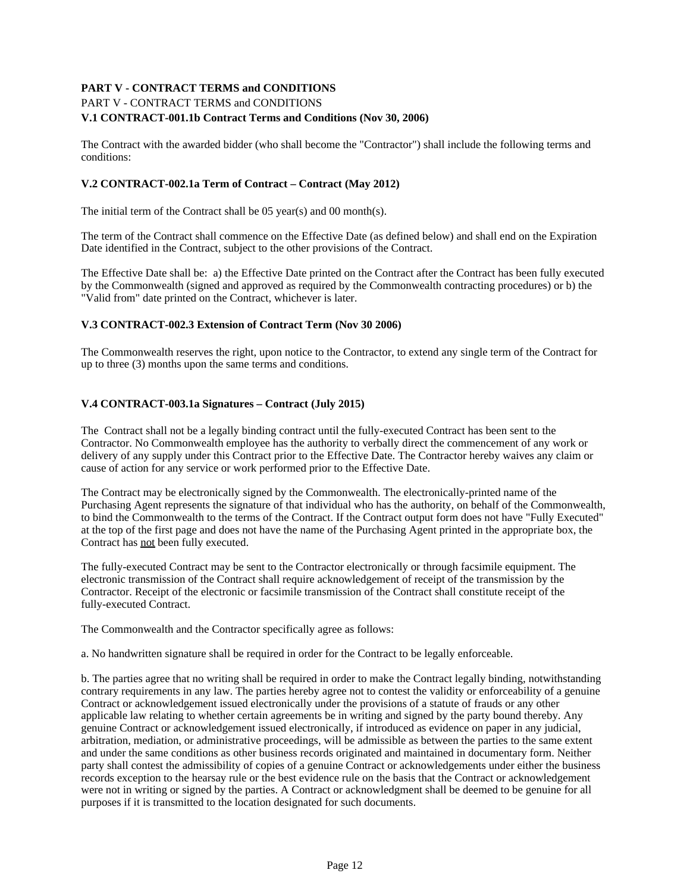# **PART V - CONTRACT TERMS and CONDITIONS** PART V - CONTRACT TERMS and CONDITIONS **V.1 CONTRACT-001.1b Contract Terms and Conditions (Nov 30, 2006)**

The Contract with the awarded bidder (who shall become the "Contractor") shall include the following terms and conditions:

# **V.2 CONTRACT-002.1a Term of Contract – Contract (May 2012)**

The initial term of the Contract shall be 05 year(s) and 00 month(s).

The term of the Contract shall commence on the Effective Date (as defined below) and shall end on the Expiration Date identified in the Contract, subject to the other provisions of the Contract.

The Effective Date shall be: a) the Effective Date printed on the Contract after the Contract has been fully executed by the Commonwealth (signed and approved as required by the Commonwealth contracting procedures) or b) the "Valid from" date printed on the Contract, whichever is later.

# **V.3 CONTRACT-002.3 Extension of Contract Term (Nov 30 2006)**

The Commonwealth reserves the right, upon notice to the Contractor, to extend any single term of the Contract for up to three (3) months upon the same terms and conditions.

### **V.4 CONTRACT-003.1a Signatures – Contract (July 2015)**

The Contract shall not be a legally binding contract until the fully-executed Contract has been sent to the Contractor. No Commonwealth employee has the authority to verbally direct the commencement of any work or delivery of any supply under this Contract prior to the Effective Date. The Contractor hereby waives any claim or cause of action for any service or work performed prior to the Effective Date.

The Contract may be electronically signed by the Commonwealth. The electronically-printed name of the Purchasing Agent represents the signature of that individual who has the authority, on behalf of the Commonwealth, to bind the Commonwealth to the terms of the Contract. If the Contract output form does not have "Fully Executed" at the top of the first page and does not have the name of the Purchasing Agent printed in the appropriate box, the Contract has not been fully executed.

The fully-executed Contract may be sent to the Contractor electronically or through facsimile equipment. The electronic transmission of the Contract shall require acknowledgement of receipt of the transmission by the Contractor. Receipt of the electronic or facsimile transmission of the Contract shall constitute receipt of the fully-executed Contract.

The Commonwealth and the Contractor specifically agree as follows:

a. No handwritten signature shall be required in order for the Contract to be legally enforceable.

b. The parties agree that no writing shall be required in order to make the Contract legally binding, notwithstanding contrary requirements in any law. The parties hereby agree not to contest the validity or enforceability of a genuine Contract or acknowledgement issued electronically under the provisions of a statute of frauds or any other applicable law relating to whether certain agreements be in writing and signed by the party bound thereby. Any genuine Contract or acknowledgement issued electronically, if introduced as evidence on paper in any judicial, arbitration, mediation, or administrative proceedings, will be admissible as between the parties to the same extent and under the same conditions as other business records originated and maintained in documentary form. Neither party shall contest the admissibility of copies of a genuine Contract or acknowledgements under either the business records exception to the hearsay rule or the best evidence rule on the basis that the Contract or acknowledgement were not in writing or signed by the parties. A Contract or acknowledgment shall be deemed to be genuine for all purposes if it is transmitted to the location designated for such documents.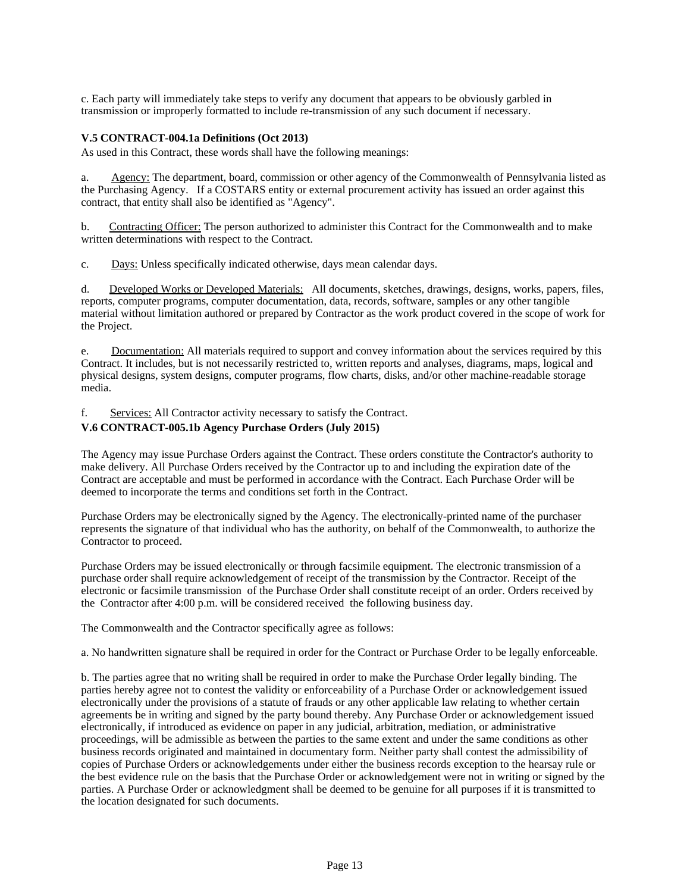c. Each party will immediately take steps to verify any document that appears to be obviously garbled in transmission or improperly formatted to include re-transmission of any such document if necessary.

### **V.5 CONTRACT-004.1a Definitions (Oct 2013)**

As used in this Contract, these words shall have the following meanings:

a. Agency: The department, board, commission or other agency of the Commonwealth of Pennsylvania listed as the Purchasing Agency. If a COSTARS entity or external procurement activity has issued an order against this contract, that entity shall also be identified as "Agency".

b. Contracting Officer: The person authorized to administer this Contract for the Commonwealth and to make written determinations with respect to the Contract.

c. Days: Unless specifically indicated otherwise, days mean calendar days.

d. Developed Works or Developed Materials: All documents, sketches, drawings, designs, works, papers, files, reports, computer programs, computer documentation, data, records, software, samples or any other tangible material without limitation authored or prepared by Contractor as the work product covered in the scope of work for the Project.

e. Documentation: All materials required to support and convey information about the services required by this Contract. It includes, but is not necessarily restricted to, written reports and analyses, diagrams, maps, logical and physical designs, system designs, computer programs, flow charts, disks, and/or other machine-readable storage media.

### f. Services: All Contractor activity necessary to satisfy the Contract.

# **V.6 CONTRACT-005.1b Agency Purchase Orders (July 2015)**

The Agency may issue Purchase Orders against the Contract. These orders constitute the Contractor's authority to make delivery. All Purchase Orders received by the Contractor up to and including the expiration date of the Contract are acceptable and must be performed in accordance with the Contract. Each Purchase Order will be deemed to incorporate the terms and conditions set forth in the Contract.

Purchase Orders may be electronically signed by the Agency. The electronically-printed name of the purchaser represents the signature of that individual who has the authority, on behalf of the Commonwealth, to authorize the Contractor to proceed.

Purchase Orders may be issued electronically or through facsimile equipment. The electronic transmission of a purchase order shall require acknowledgement of receipt of the transmission by the Contractor. Receipt of the electronic or facsimile transmission of the Purchase Order shall constitute receipt of an order. Orders received by the Contractor after 4:00 p.m. will be considered received the following business day.

The Commonwealth and the Contractor specifically agree as follows:

a. No handwritten signature shall be required in order for the Contract or Purchase Order to be legally enforceable.

b. The parties agree that no writing shall be required in order to make the Purchase Order legally binding. The parties hereby agree not to contest the validity or enforceability of a Purchase Order or acknowledgement issued electronically under the provisions of a statute of frauds or any other applicable law relating to whether certain agreements be in writing and signed by the party bound thereby. Any Purchase Order or acknowledgement issued electronically, if introduced as evidence on paper in any judicial, arbitration, mediation, or administrative proceedings, will be admissible as between the parties to the same extent and under the same conditions as other business records originated and maintained in documentary form. Neither party shall contest the admissibility of copies of Purchase Orders or acknowledgements under either the business records exception to the hearsay rule or the best evidence rule on the basis that the Purchase Order or acknowledgement were not in writing or signed by the parties. A Purchase Order or acknowledgment shall be deemed to be genuine for all purposes if it is transmitted to the location designated for such documents.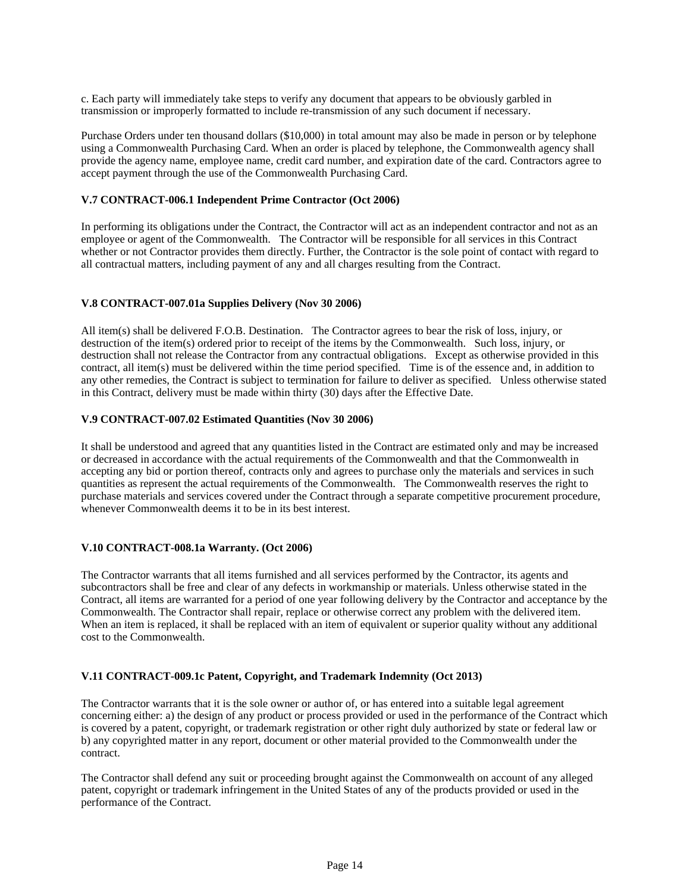c. Each party will immediately take steps to verify any document that appears to be obviously garbled in transmission or improperly formatted to include re-transmission of any such document if necessary.

Purchase Orders under ten thousand dollars (\$10,000) in total amount may also be made in person or by telephone using a Commonwealth Purchasing Card. When an order is placed by telephone, the Commonwealth agency shall provide the agency name, employee name, credit card number, and expiration date of the card. Contractors agree to accept payment through the use of the Commonwealth Purchasing Card.

### **V.7 CONTRACT-006.1 Independent Prime Contractor (Oct 2006)**

In performing its obligations under the Contract, the Contractor will act as an independent contractor and not as an employee or agent of the Commonwealth. The Contractor will be responsible for all services in this Contract whether or not Contractor provides them directly. Further, the Contractor is the sole point of contact with regard to all contractual matters, including payment of any and all charges resulting from the Contract.

# **V.8 CONTRACT-007.01a Supplies Delivery (Nov 30 2006)**

All item(s) shall be delivered F.O.B. Destination. The Contractor agrees to bear the risk of loss, injury, or destruction of the item(s) ordered prior to receipt of the items by the Commonwealth. Such loss, injury, or destruction shall not release the Contractor from any contractual obligations. Except as otherwise provided in this contract, all item(s) must be delivered within the time period specified. Time is of the essence and, in addition to any other remedies, the Contract is subject to termination for failure to deliver as specified. Unless otherwise stated in this Contract, delivery must be made within thirty (30) days after the Effective Date.

### **V.9 CONTRACT-007.02 Estimated Quantities (Nov 30 2006)**

It shall be understood and agreed that any quantities listed in the Contract are estimated only and may be increased or decreased in accordance with the actual requirements of the Commonwealth and that the Commonwealth in accepting any bid or portion thereof, contracts only and agrees to purchase only the materials and services in such quantities as represent the actual requirements of the Commonwealth. The Commonwealth reserves the right to purchase materials and services covered under the Contract through a separate competitive procurement procedure, whenever Commonwealth deems it to be in its best interest.

### **V.10 CONTRACT-008.1a Warranty. (Oct 2006)**

The Contractor warrants that all items furnished and all services performed by the Contractor, its agents and subcontractors shall be free and clear of any defects in workmanship or materials. Unless otherwise stated in the Contract, all items are warranted for a period of one year following delivery by the Contractor and acceptance by the Commonwealth. The Contractor shall repair, replace or otherwise correct any problem with the delivered item. When an item is replaced, it shall be replaced with an item of equivalent or superior quality without any additional cost to the Commonwealth.

### **V.11 CONTRACT-009.1c Patent, Copyright, and Trademark Indemnity (Oct 2013)**

The Contractor warrants that it is the sole owner or author of, or has entered into a suitable legal agreement concerning either: a) the design of any product or process provided or used in the performance of the Contract which is covered by a patent, copyright, or trademark registration or other right duly authorized by state or federal law or b) any copyrighted matter in any report, document or other material provided to the Commonwealth under the contract.

The Contractor shall defend any suit or proceeding brought against the Commonwealth on account of any alleged patent, copyright or trademark infringement in the United States of any of the products provided or used in the performance of the Contract.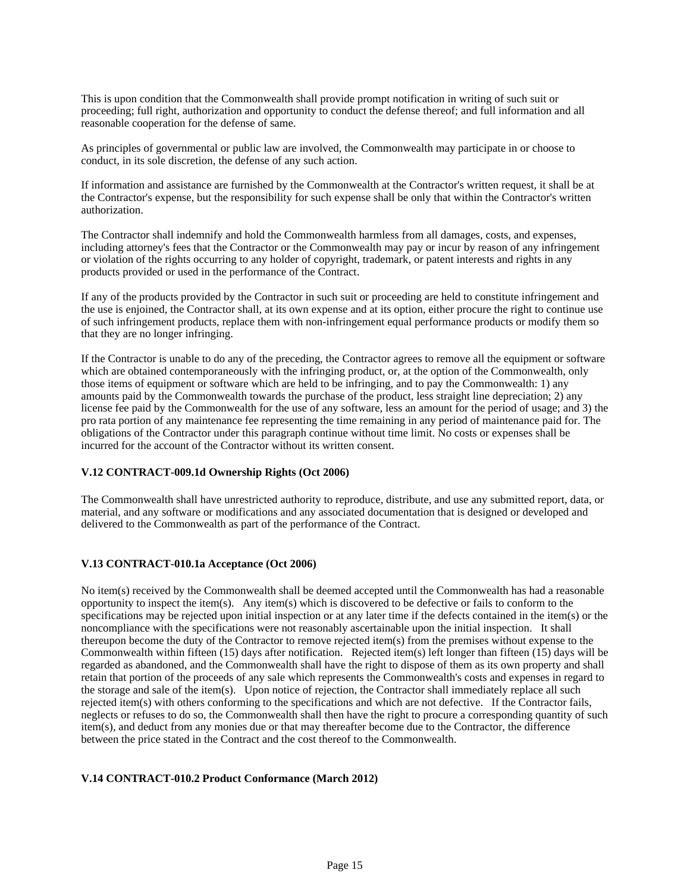This is upon condition that the Commonwealth shall provide prompt notification in writing of such suit or proceeding; full right, authorization and opportunity to conduct the defense thereof; and full information and all reasonable cooperation for the defense of same.

As principles of governmental or public law are involved, the Commonwealth may participate in or choose to conduct, in its sole discretion, the defense of any such action.

If information and assistance are furnished by the Commonwealth at the Contractor's written request, it shall be at the Contractor's expense, but the responsibility for such expense shall be only that within the Contractor's written authorization.

The Contractor shall indemnify and hold the Commonwealth harmless from all damages, costs, and expenses, including attorney's fees that the Contractor or the Commonwealth may pay or incur by reason of any infringement or violation of the rights occurring to any holder of copyright, trademark, or patent interests and rights in any products provided or used in the performance of the Contract.

If any of the products provided by the Contractor in such suit or proceeding are held to constitute infringement and the use is enjoined, the Contractor shall, at its own expense and at its option, either procure the right to continue use of such infringement products, replace them with non-infringement equal performance products or modify them so that they are no longer infringing.

If the Contractor is unable to do any of the preceding, the Contractor agrees to remove all the equipment or software which are obtained contemporaneously with the infringing product, or, at the option of the Commonwealth, only those items of equipment or software which are held to be infringing, and to pay the Commonwealth: 1) any amounts paid by the Commonwealth towards the purchase of the product, less straight line depreciation; 2) any license fee paid by the Commonwealth for the use of any software, less an amount for the period of usage; and 3) the pro rata portion of any maintenance fee representing the time remaining in any period of maintenance paid for. The obligations of the Contractor under this paragraph continue without time limit. No costs or expenses shall be incurred for the account of the Contractor without its written consent.

### **V.12 CONTRACT-009.1d Ownership Rights (Oct 2006)**

The Commonwealth shall have unrestricted authority to reproduce, distribute, and use any submitted report, data, or material, and any software or modifications and any associated documentation that is designed or developed and delivered to the Commonwealth as part of the performance of the Contract.

# **V.13 CONTRACT-010.1a Acceptance (Oct 2006)**

No item(s) received by the Commonwealth shall be deemed accepted until the Commonwealth has had a reasonable opportunity to inspect the item(s). Any item(s) which is discovered to be defective or fails to conform to the specifications may be rejected upon initial inspection or at any later time if the defects contained in the item(s) or the noncompliance with the specifications were not reasonably ascertainable upon the initial inspection. It shall thereupon become the duty of the Contractor to remove rejected item(s) from the premises without expense to the Commonwealth within fifteen (15) days after notification. Rejected item(s) left longer than fifteen (15) days will be regarded as abandoned, and the Commonwealth shall have the right to dispose of them as its own property and shall retain that portion of the proceeds of any sale which represents the Commonwealth's costs and expenses in regard to the storage and sale of the item(s). Upon notice of rejection, the Contractor shall immediately replace all such rejected item(s) with others conforming to the specifications and which are not defective. If the Contractor fails, neglects or refuses to do so, the Commonwealth shall then have the right to procure a corresponding quantity of such item(s), and deduct from any monies due or that may thereafter become due to the Contractor, the difference between the price stated in the Contract and the cost thereof to the Commonwealth.

# **V.14 CONTRACT-010.2 Product Conformance (March 2012)**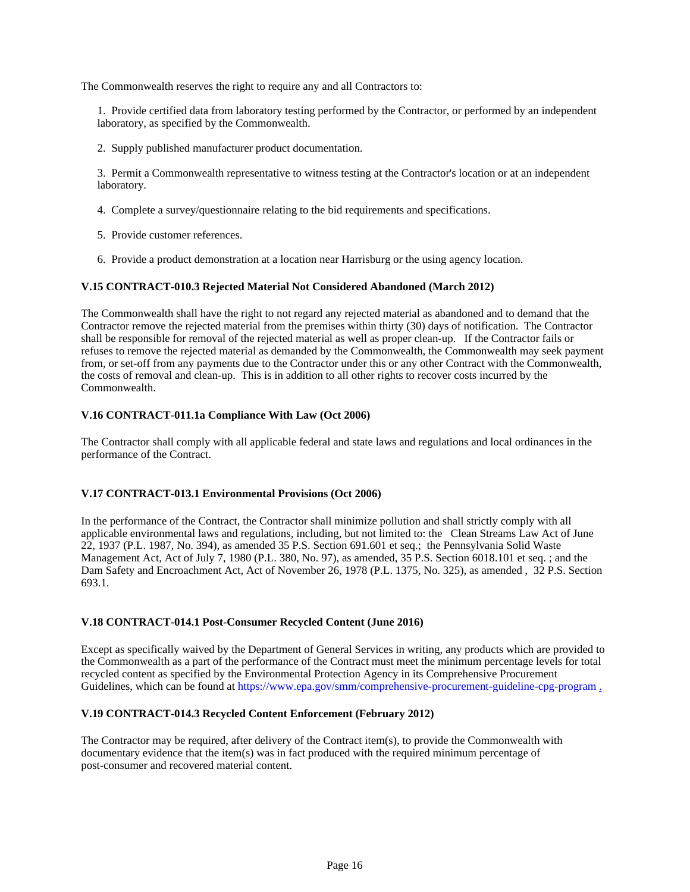The Commonwealth reserves the right to require any and all Contractors to:

1. Provide certified data from laboratory testing performed by the Contractor, or performed by an independent laboratory, as specified by the Commonwealth.

2. Supply published manufacturer product documentation.

3. Permit a Commonwealth representative to witness testing at the Contractor's location or at an independent laboratory.

- 4. Complete a survey/questionnaire relating to the bid requirements and specifications.
- 5. Provide customer references.
- 6. Provide a product demonstration at a location near Harrisburg or the using agency location.

### **V.15 CONTRACT-010.3 Rejected Material Not Considered Abandoned (March 2012)**

The Commonwealth shall have the right to not regard any rejected material as abandoned and to demand that the Contractor remove the rejected material from the premises within thirty (30) days of notification. The Contractor shall be responsible for removal of the rejected material as well as proper clean-up. If the Contractor fails or refuses to remove the rejected material as demanded by the Commonwealth, the Commonwealth may seek payment from, or set-off from any payments due to the Contractor under this or any other Contract with the Commonwealth, the costs of removal and clean-up. This is in addition to all other rights to recover costs incurred by the Commonwealth.

### **V.16 CONTRACT-011.1a Compliance With Law (Oct 2006)**

The Contractor shall comply with all applicable federal and state laws and regulations and local ordinances in the performance of the Contract.

#### **V.17 CONTRACT-013.1 Environmental Provisions (Oct 2006)**

In the performance of the Contract, the Contractor shall minimize pollution and shall strictly comply with all applicable environmental laws and regulations, including, but not limited to: the Clean Streams Law Act of June 22, 1937 (P.L. 1987, No. 394), as amended 35 P.S. Section 691.601 et seq.; the Pennsylvania Solid Waste Management Act, Act of July 7, 1980 (P.L. 380, No. 97), as amended, 35 P.S. Section 6018.101 et seq. ; and the Dam Safety and Encroachment Act, Act of November 26, 1978 (P.L. 1375, No. 325), as amended , 32 P.S. Section 693.1.

### **V.18 CONTRACT-014.1 Post-Consumer Recycled Content (June 2016)**

Except as specifically waived by the Department of General Services in writing, any products which are provided to the Commonwealth as a part of the performance of the Contract must meet the minimum percentage levels for total recycled content as specified by the Environmental Protection Agency in its Comprehensive Procurement Guidelines, which can be found at https://www.epa.gov/smm/comprehensive-procurement-guideline-cpg-program .

#### **V.19 CONTRACT-014.3 Recycled Content Enforcement (February 2012)**

The Contractor may be required, after delivery of the Contract item(s), to provide the Commonwealth with documentary evidence that the item(s) was in fact produced with the required minimum percentage of post-consumer and recovered material content.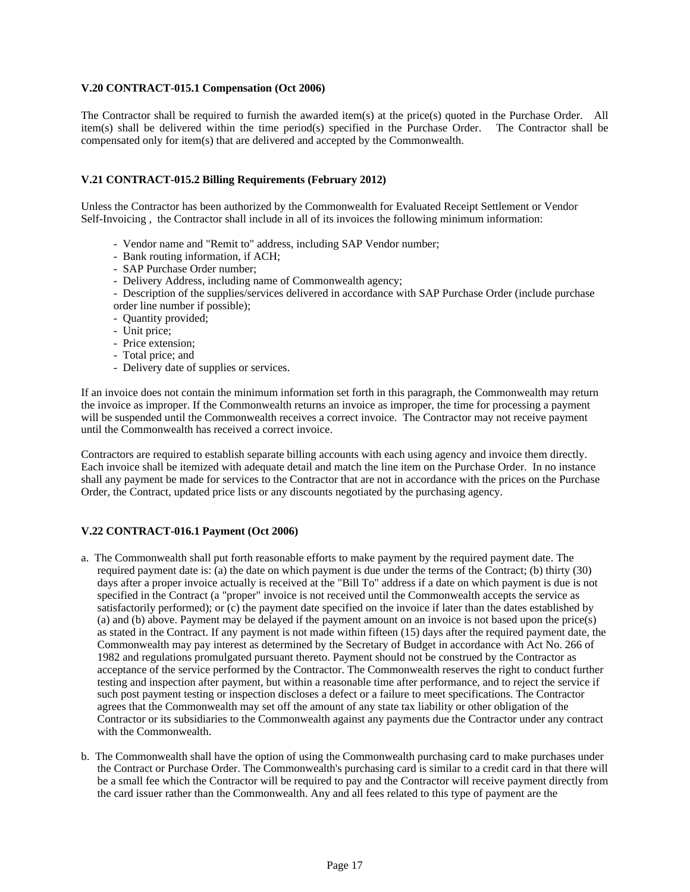### **V.20 CONTRACT-015.1 Compensation (Oct 2006)**

The Contractor shall be required to furnish the awarded item(s) at the price(s) quoted in the Purchase Order. All item(s) shall be delivered within the time period(s) specified in the Purchase Order. The Contractor shall be compensated only for item(s) that are delivered and accepted by the Commonwealth.

# **V.21 CONTRACT-015.2 Billing Requirements (February 2012)**

Unless the Contractor has been authorized by the Commonwealth for Evaluated Receipt Settlement or Vendor Self-Invoicing , the Contractor shall include in all of its invoices the following minimum information:

- Vendor name and "Remit to" address, including SAP Vendor number;
- Bank routing information, if ACH;
- SAP Purchase Order number;
- Delivery Address, including name of Commonwealth agency;
- Description of the supplies/services delivered in accordance with SAP Purchase Order (include purchase order line number if possible);
- Quantity provided;
- Unit price;
- Price extension;
- Total price; and
- Delivery date of supplies or services.

If an invoice does not contain the minimum information set forth in this paragraph, the Commonwealth may return the invoice as improper. If the Commonwealth returns an invoice as improper, the time for processing a payment will be suspended until the Commonwealth receives a correct invoice. The Contractor may not receive payment until the Commonwealth has received a correct invoice.

Contractors are required to establish separate billing accounts with each using agency and invoice them directly. Each invoice shall be itemized with adequate detail and match the line item on the Purchase Order. In no instance shall any payment be made for services to the Contractor that are not in accordance with the prices on the Purchase Order, the Contract, updated price lists or any discounts negotiated by the purchasing agency.

# **V.22 CONTRACT-016.1 Payment (Oct 2006)**

- a. The Commonwealth shall put forth reasonable efforts to make payment by the required payment date. The required payment date is: (a) the date on which payment is due under the terms of the Contract; (b) thirty (30) days after a proper invoice actually is received at the "Bill To" address if a date on which payment is due is not specified in the Contract (a "proper" invoice is not received until the Commonwealth accepts the service as satisfactorily performed); or (c) the payment date specified on the invoice if later than the dates established by (a) and (b) above. Payment may be delayed if the payment amount on an invoice is not based upon the price(s) as stated in the Contract. If any payment is not made within fifteen (15) days after the required payment date, the Commonwealth may pay interest as determined by the Secretary of Budget in accordance with Act No. 266 of 1982 and regulations promulgated pursuant thereto. Payment should not be construed by the Contractor as acceptance of the service performed by the Contractor. The Commonwealth reserves the right to conduct further testing and inspection after payment, but within a reasonable time after performance, and to reject the service if such post payment testing or inspection discloses a defect or a failure to meet specifications. The Contractor agrees that the Commonwealth may set off the amount of any state tax liability or other obligation of the Contractor or its subsidiaries to the Commonwealth against any payments due the Contractor under any contract with the Commonwealth.
- b. The Commonwealth shall have the option of using the Commonwealth purchasing card to make purchases under the Contract or Purchase Order. The Commonwealth's purchasing card is similar to a credit card in that there will be a small fee which the Contractor will be required to pay and the Contractor will receive payment directly from the card issuer rather than the Commonwealth. Any and all fees related to this type of payment are the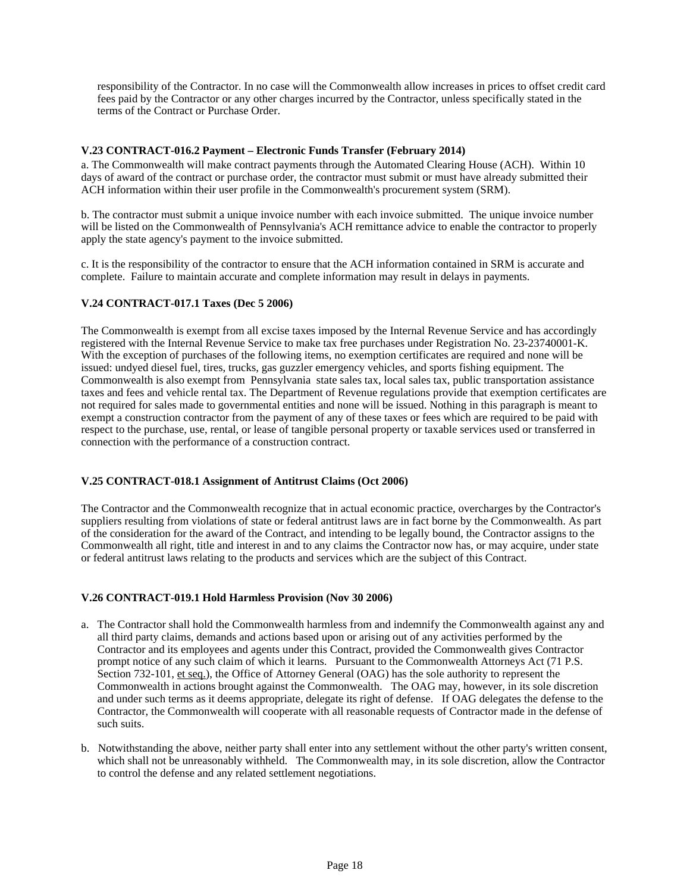responsibility of the Contractor. In no case will the Commonwealth allow increases in prices to offset credit card fees paid by the Contractor or any other charges incurred by the Contractor, unless specifically stated in the terms of the Contract or Purchase Order.

### **V.23 CONTRACT-016.2 Payment – Electronic Funds Transfer (February 2014)**

a. The Commonwealth will make contract payments through the Automated Clearing House (ACH). Within 10 days of award of the contract or purchase order, the contractor must submit or must have already submitted their ACH information within their user profile in the Commonwealth's procurement system (SRM).

b. The contractor must submit a unique invoice number with each invoice submitted. The unique invoice number will be listed on the Commonwealth of Pennsylvania's ACH remittance advice to enable the contractor to properly apply the state agency's payment to the invoice submitted.

c. It is the responsibility of the contractor to ensure that the ACH information contained in SRM is accurate and complete. Failure to maintain accurate and complete information may result in delays in payments.

### **V.24 CONTRACT-017.1 Taxes (Dec 5 2006)**

The Commonwealth is exempt from all excise taxes imposed by the Internal Revenue Service and has accordingly registered with the Internal Revenue Service to make tax free purchases under Registration No. 23-23740001-K. With the exception of purchases of the following items, no exemption certificates are required and none will be issued: undyed diesel fuel, tires, trucks, gas guzzler emergency vehicles, and sports fishing equipment. The Commonwealth is also exempt from Pennsylvania state sales tax, local sales tax, public transportation assistance taxes and fees and vehicle rental tax. The Department of Revenue regulations provide that exemption certificates are not required for sales made to governmental entities and none will be issued. Nothing in this paragraph is meant to exempt a construction contractor from the payment of any of these taxes or fees which are required to be paid with respect to the purchase, use, rental, or lease of tangible personal property or taxable services used or transferred in connection with the performance of a construction contract.

### **V.25 CONTRACT-018.1 Assignment of Antitrust Claims (Oct 2006)**

The Contractor and the Commonwealth recognize that in actual economic practice, overcharges by the Contractor's suppliers resulting from violations of state or federal antitrust laws are in fact borne by the Commonwealth. As part of the consideration for the award of the Contract, and intending to be legally bound, the Contractor assigns to the Commonwealth all right, title and interest in and to any claims the Contractor now has, or may acquire, under state or federal antitrust laws relating to the products and services which are the subject of this Contract.

### **V.26 CONTRACT-019.1 Hold Harmless Provision (Nov 30 2006)**

- a. The Contractor shall hold the Commonwealth harmless from and indemnify the Commonwealth against any and all third party claims, demands and actions based upon or arising out of any activities performed by the Contractor and its employees and agents under this Contract, provided the Commonwealth gives Contractor prompt notice of any such claim of which it learns. Pursuant to the Commonwealth Attorneys Act (71 P.S. Section 732-101, et seq.), the Office of Attorney General (OAG) has the sole authority to represent the Commonwealth in actions brought against the Commonwealth. The OAG may, however, in its sole discretion and under such terms as it deems appropriate, delegate its right of defense. If OAG delegates the defense to the Contractor, the Commonwealth will cooperate with all reasonable requests of Contractor made in the defense of such suits.
- b. Notwithstanding the above, neither party shall enter into any settlement without the other party's written consent, which shall not be unreasonably withheld. The Commonwealth may, in its sole discretion, allow the Contractor to control the defense and any related settlement negotiations.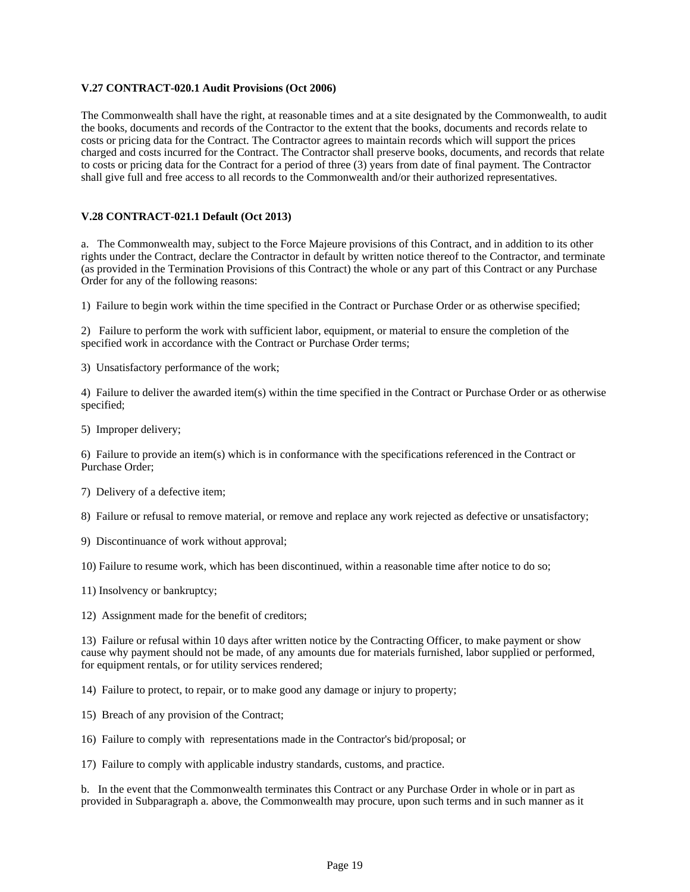### **V.27 CONTRACT-020.1 Audit Provisions (Oct 2006)**

The Commonwealth shall have the right, at reasonable times and at a site designated by the Commonwealth, to audit the books, documents and records of the Contractor to the extent that the books, documents and records relate to costs or pricing data for the Contract. The Contractor agrees to maintain records which will support the prices charged and costs incurred for the Contract. The Contractor shall preserve books, documents, and records that relate to costs or pricing data for the Contract for a period of three (3) years from date of final payment. The Contractor shall give full and free access to all records to the Commonwealth and/or their authorized representatives.

### **V.28 CONTRACT-021.1 Default (Oct 2013)**

a. The Commonwealth may, subject to the Force Majeure provisions of this Contract, and in addition to its other rights under the Contract, declare the Contractor in default by written notice thereof to the Contractor, and terminate (as provided in the Termination Provisions of this Contract) the whole or any part of this Contract or any Purchase Order for any of the following reasons:

1) Failure to begin work within the time specified in the Contract or Purchase Order or as otherwise specified;

2) Failure to perform the work with sufficient labor, equipment, or material to ensure the completion of the specified work in accordance with the Contract or Purchase Order terms;

3) Unsatisfactory performance of the work;

4) Failure to deliver the awarded item(s) within the time specified in the Contract or Purchase Order or as otherwise specified;

5) Improper delivery;

6) Failure to provide an item(s) which is in conformance with the specifications referenced in the Contract or Purchase Order;

7) Delivery of a defective item;

- 8) Failure or refusal to remove material, or remove and replace any work rejected as defective or unsatisfactory;
- 9) Discontinuance of work without approval;

10) Failure to resume work, which has been discontinued, within a reasonable time after notice to do so;

- 11) Insolvency or bankruptcy;
- 12) Assignment made for the benefit of creditors;

13) Failure or refusal within 10 days after written notice by the Contracting Officer, to make payment or show cause why payment should not be made, of any amounts due for materials furnished, labor supplied or performed, for equipment rentals, or for utility services rendered;

14) Failure to protect, to repair, or to make good any damage or injury to property;

- 15) Breach of any provision of the Contract;
- 16) Failure to comply with representations made in the Contractor's bid/proposal; or

17) Failure to comply with applicable industry standards, customs, and practice.

b. In the event that the Commonwealth terminates this Contract or any Purchase Order in whole or in part as provided in Subparagraph a. above, the Commonwealth may procure, upon such terms and in such manner as it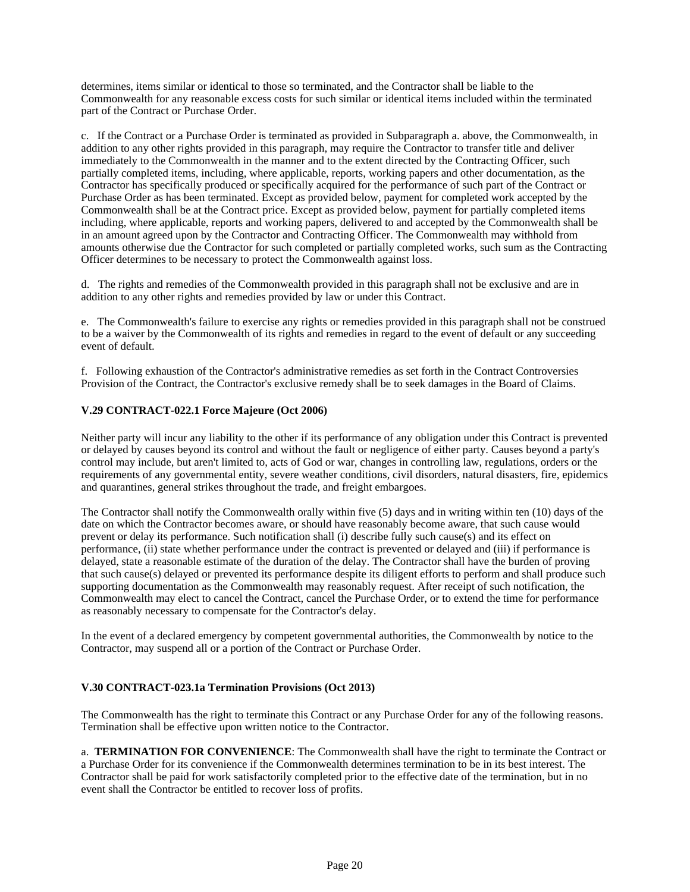determines, items similar or identical to those so terminated, and the Contractor shall be liable to the Commonwealth for any reasonable excess costs for such similar or identical items included within the terminated part of the Contract or Purchase Order.

c. If the Contract or a Purchase Order is terminated as provided in Subparagraph a. above, the Commonwealth, in addition to any other rights provided in this paragraph, may require the Contractor to transfer title and deliver immediately to the Commonwealth in the manner and to the extent directed by the Contracting Officer, such partially completed items, including, where applicable, reports, working papers and other documentation, as the Contractor has specifically produced or specifically acquired for the performance of such part of the Contract or Purchase Order as has been terminated. Except as provided below, payment for completed work accepted by the Commonwealth shall be at the Contract price. Except as provided below, payment for partially completed items including, where applicable, reports and working papers, delivered to and accepted by the Commonwealth shall be in an amount agreed upon by the Contractor and Contracting Officer. The Commonwealth may withhold from amounts otherwise due the Contractor for such completed or partially completed works, such sum as the Contracting Officer determines to be necessary to protect the Commonwealth against loss.

d. The rights and remedies of the Commonwealth provided in this paragraph shall not be exclusive and are in addition to any other rights and remedies provided by law or under this Contract.

e. The Commonwealth's failure to exercise any rights or remedies provided in this paragraph shall not be construed to be a waiver by the Commonwealth of its rights and remedies in regard to the event of default or any succeeding event of default.

f. Following exhaustion of the Contractor's administrative remedies as set forth in the Contract Controversies Provision of the Contract, the Contractor's exclusive remedy shall be to seek damages in the Board of Claims.

# **V.29 CONTRACT-022.1 Force Majeure (Oct 2006)**

Neither party will incur any liability to the other if its performance of any obligation under this Contract is prevented or delayed by causes beyond its control and without the fault or negligence of either party. Causes beyond a party's control may include, but aren't limited to, acts of God or war, changes in controlling law, regulations, orders or the requirements of any governmental entity, severe weather conditions, civil disorders, natural disasters, fire, epidemics and quarantines, general strikes throughout the trade, and freight embargoes.

The Contractor shall notify the Commonwealth orally within five (5) days and in writing within ten (10) days of the date on which the Contractor becomes aware, or should have reasonably become aware, that such cause would prevent or delay its performance. Such notification shall (i) describe fully such cause(s) and its effect on performance, (ii) state whether performance under the contract is prevented or delayed and (iii) if performance is delayed, state a reasonable estimate of the duration of the delay. The Contractor shall have the burden of proving that such cause(s) delayed or prevented its performance despite its diligent efforts to perform and shall produce such supporting documentation as the Commonwealth may reasonably request. After receipt of such notification, the Commonwealth may elect to cancel the Contract, cancel the Purchase Order, or to extend the time for performance as reasonably necessary to compensate for the Contractor's delay.

In the event of a declared emergency by competent governmental authorities, the Commonwealth by notice to the Contractor, may suspend all or a portion of the Contract or Purchase Order.

# **V.30 CONTRACT-023.1a Termination Provisions (Oct 2013)**

The Commonwealth has the right to terminate this Contract or any Purchase Order for any of the following reasons. Termination shall be effective upon written notice to the Contractor.

a. **TERMINATION FOR CONVENIENCE**: The Commonwealth shall have the right to terminate the Contract or a Purchase Order for its convenience if the Commonwealth determines termination to be in its best interest. The Contractor shall be paid for work satisfactorily completed prior to the effective date of the termination, but in no event shall the Contractor be entitled to recover loss of profits.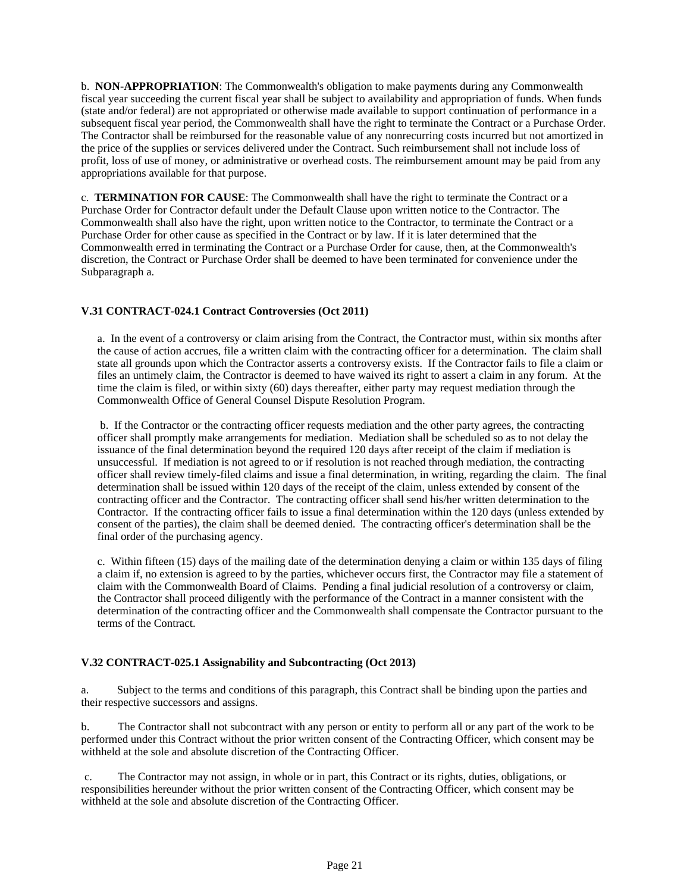b. **NON-APPROPRIATION**: The Commonwealth's obligation to make payments during any Commonwealth fiscal year succeeding the current fiscal year shall be subject to availability and appropriation of funds. When funds (state and/or federal) are not appropriated or otherwise made available to support continuation of performance in a subsequent fiscal year period, the Commonwealth shall have the right to terminate the Contract or a Purchase Order. The Contractor shall be reimbursed for the reasonable value of any nonrecurring costs incurred but not amortized in the price of the supplies or services delivered under the Contract. Such reimbursement shall not include loss of profit, loss of use of money, or administrative or overhead costs. The reimbursement amount may be paid from any appropriations available for that purpose.

c. **TERMINATION FOR CAUSE**: The Commonwealth shall have the right to terminate the Contract or a Purchase Order for Contractor default under the Default Clause upon written notice to the Contractor. The Commonwealth shall also have the right, upon written notice to the Contractor, to terminate the Contract or a Purchase Order for other cause as specified in the Contract or by law. If it is later determined that the Commonwealth erred in terminating the Contract or a Purchase Order for cause, then, at the Commonwealth's discretion, the Contract or Purchase Order shall be deemed to have been terminated for convenience under the Subparagraph a.

# **V.31 CONTRACT-024.1 Contract Controversies (Oct 2011)**

a. In the event of a controversy or claim arising from the Contract, the Contractor must, within six months after the cause of action accrues, file a written claim with the contracting officer for a determination. The claim shall state all grounds upon which the Contractor asserts a controversy exists. If the Contractor fails to file a claim or files an untimely claim, the Contractor is deemed to have waived its right to assert a claim in any forum. At the time the claim is filed, or within sixty (60) days thereafter, either party may request mediation through the Commonwealth Office of General Counsel Dispute Resolution Program.

b. If the Contractor or the contracting officer requests mediation and the other party agrees, the contracting officer shall promptly make arrangements for mediation. Mediation shall be scheduled so as to not delay the issuance of the final determination beyond the required 120 days after receipt of the claim if mediation is unsuccessful. If mediation is not agreed to or if resolution is not reached through mediation, the contracting officer shall review timely-filed claims and issue a final determination, in writing, regarding the claim. The final determination shall be issued within 120 days of the receipt of the claim, unless extended by consent of the contracting officer and the Contractor. The contracting officer shall send his/her written determination to the Contractor. If the contracting officer fails to issue a final determination within the 120 days (unless extended by consent of the parties), the claim shall be deemed denied. The contracting officer's determination shall be the final order of the purchasing agency.

c. Within fifteen (15) days of the mailing date of the determination denying a claim or within 135 days of filing a claim if, no extension is agreed to by the parties, whichever occurs first, the Contractor may file a statement of claim with the Commonwealth Board of Claims. Pending a final judicial resolution of a controversy or claim, the Contractor shall proceed diligently with the performance of the Contract in a manner consistent with the determination of the contracting officer and the Commonwealth shall compensate the Contractor pursuant to the terms of the Contract.

# **V.32 CONTRACT-025.1 Assignability and Subcontracting (Oct 2013)**

a. Subject to the terms and conditions of this paragraph, this Contract shall be binding upon the parties and their respective successors and assigns.

b. The Contractor shall not subcontract with any person or entity to perform all or any part of the work to be performed under this Contract without the prior written consent of the Contracting Officer, which consent may be withheld at the sole and absolute discretion of the Contracting Officer.

c. The Contractor may not assign, in whole or in part, this Contract or its rights, duties, obligations, or responsibilities hereunder without the prior written consent of the Contracting Officer, which consent may be withheld at the sole and absolute discretion of the Contracting Officer.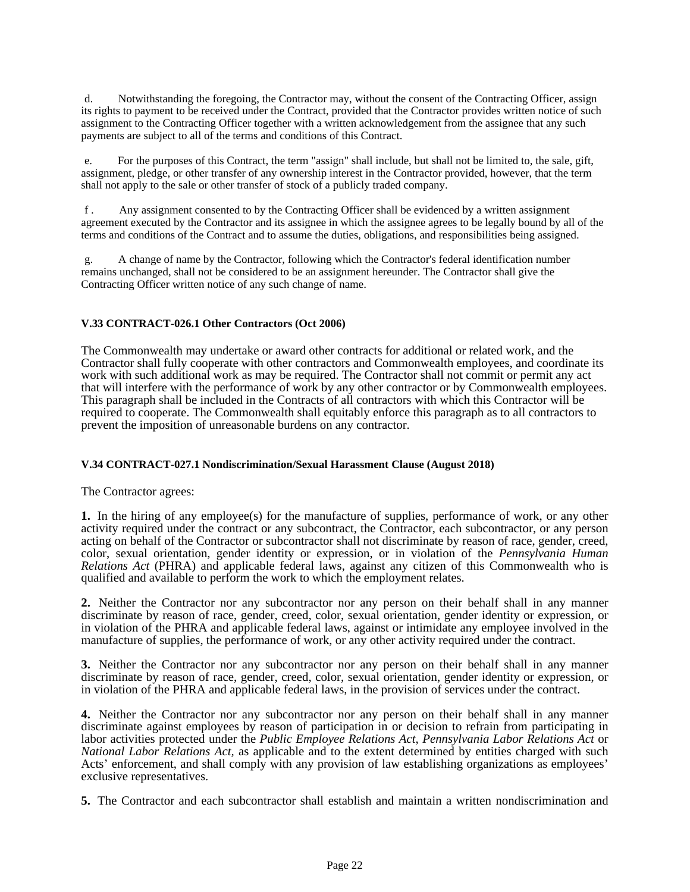d. Notwithstanding the foregoing, the Contractor may, without the consent of the Contracting Officer, assign its rights to payment to be received under the Contract, provided that the Contractor provides written notice of such assignment to the Contracting Officer together with a written acknowledgement from the assignee that any such payments are subject to all of the terms and conditions of this Contract.

e. For the purposes of this Contract, the term "assign" shall include, but shall not be limited to, the sale, gift, assignment, pledge, or other transfer of any ownership interest in the Contractor provided, however, that the term shall not apply to the sale or other transfer of stock of a publicly traded company.

f . Any assignment consented to by the Contracting Officer shall be evidenced by a written assignment agreement executed by the Contractor and its assignee in which the assignee agrees to be legally bound by all of the terms and conditions of the Contract and to assume the duties, obligations, and responsibilities being assigned.

g. A change of name by the Contractor, following which the Contractor's federal identification number remains unchanged, shall not be considered to be an assignment hereunder. The Contractor shall give the Contracting Officer written notice of any such change of name.

# **V.33 CONTRACT-026.1 Other Contractors (Oct 2006)**

The Commonwealth may undertake or award other contracts for additional or related work, and the Contractor shall fully cooperate with other contractors and Commonwealth employees, and coordinate its work with such additional work as may be required. The Contractor shall not commit or permit any act that will interfere with the performance of work by any other contractor or by Commonwealth employees. This paragraph shall be included in the Contracts of all contractors with which this Contractor will be required to cooperate. The Commonwealth shall equitably enforce this paragraph as to all contractors to prevent the imposition of unreasonable burdens on any contractor.

# **V.34 CONTRACT-027.1 Nondiscrimination/Sexual Harassment Clause (August 2018)**

The Contractor agrees:

**1.** In the hiring of any employee(s) for the manufacture of supplies, performance of work, or any other activity required under the contract or any subcontract, the Contractor, each subcontractor, or any person acting on behalf of the Contractor or subcontractor shall not discriminate by reason of race, gender, creed, color, sexual orientation, gender identity or expression, or in violation of the *Pennsylvania Human Relations Act* (PHRA) and applicable federal laws, against any citizen of this Commonwealth who is qualified and available to perform the work to which the employment relates.

**2.** Neither the Contractor nor any subcontractor nor any person on their behalf shall in any manner discriminate by reason of race, gender, creed, color, sexual orientation, gender identity or expression, or in violation of the PHRA and applicable federal laws, against or intimidate any employee involved in the manufacture of supplies, the performance of work, or any other activity required under the contract.

**3.** Neither the Contractor nor any subcontractor nor any person on their behalf shall in any manner discriminate by reason of race, gender, creed, color, sexual orientation, gender identity or expression, or in violation of the PHRA and applicable federal laws, in the provision of services under the contract.

**4.** Neither the Contractor nor any subcontractor nor any person on their behalf shall in any manner discriminate against employees by reason of participation in or decision to refrain from participating in labor activities protected under the *Public Employee Relations Act*, *Pennsylvania Labor Relations Act* or *National Labor Relations Act,* as applicable and to the extent determined by entities charged with such Acts' enforcement, and shall comply with any provision of law establishing organizations as employees' exclusive representatives.

**5.** The Contractor and each subcontractor shall establish and maintain a written nondiscrimination and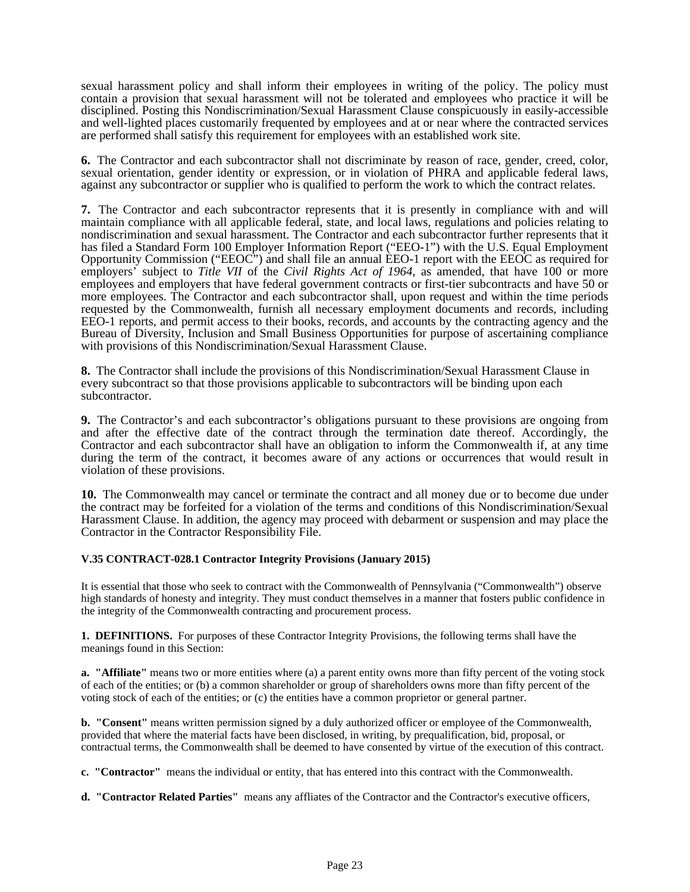sexual harassment policy and shall inform their employees in writing of the policy. The policy must contain a provision that sexual harassment will not be tolerated and employees who practice it will be disciplined. Posting this Nondiscrimination/Sexual Harassment Clause conspicuously in easily-accessible and well-lighted places customarily frequented by employees and at or near where the contracted services are performed shall satisfy this requirement for employees with an established work site.

**6.** The Contractor and each subcontractor shall not discriminate by reason of race, gender, creed, color, sexual orientation, gender identity or expression, or in violation of PHRA and applicable federal laws, against any subcontractor or supplier who is qualified to perform the work to which the contract relates.

**7.** The Contractor and each subcontractor represents that it is presently in compliance with and will maintain compliance with all applicable federal, state, and local laws, regulations and policies relating to nondiscrimination and sexual harassment. The Contractor and each subcontractor further represents that it has filed a Standard Form 100 Employer Information Report ("EEO-1") with the U.S. Equal Employment Opportunity Commission ("EEOC") and shall file an annual EEO-1 report with the EEOC as required for employers' subject to *Title VII* of the *Civil Rights Act of 1964*, as amended, that have 100 or more employees and employers that have federal government contracts or first-tier subcontracts and have 50 or more employees. The Contractor and each subcontractor shall, upon request and within the time periods requested by the Commonwealth, furnish all necessary employment documents and records, including EEO-1 reports, and permit access to their books, records, and accounts by the contracting agency and the Bureau of Diversity, Inclusion and Small Business Opportunities for purpose of ascertaining compliance with provisions of this Nondiscrimination/Sexual Harassment Clause.

**8.** The Contractor shall include the provisions of this Nondiscrimination/Sexual Harassment Clause in every subcontract so that those provisions applicable to subcontractors will be binding upon each subcontractor.

**9.** The Contractor's and each subcontractor's obligations pursuant to these provisions are ongoing from and after the effective date of the contract through the termination date thereof. Accordingly, the Contractor and each subcontractor shall have an obligation to inform the Commonwealth if, at any time during the term of the contract, it becomes aware of any actions or occurrences that would result in violation of these provisions.

**10.** The Commonwealth may cancel or terminate the contract and all money due or to become due under the contract may be forfeited for a violation of the terms and conditions of this Nondiscrimination/Sexual Harassment Clause. In addition, the agency may proceed with debarment or suspension and may place the Contractor in the Contractor Responsibility File.

# **V.35 CONTRACT-028.1 Contractor Integrity Provisions (January 2015)**

It is essential that those who seek to contract with the Commonwealth of Pennsylvania ("Commonwealth") observe high standards of honesty and integrity. They must conduct themselves in a manner that fosters public confidence in the integrity of the Commonwealth contracting and procurement process.

**1. DEFINITIONS.** For purposes of these Contractor Integrity Provisions, the following terms shall have the meanings found in this Section:

**a.** "Affiliate" means two or more entities where (a) a parent entity owns more than fifty percent of the voting stock of each of the entities; or (b) a common shareholder or group of shareholders owns more than fifty percent of the voting stock of each of the entities; or (c) the entities have a common proprietor or general partner.

**b. "Consent"** means written permission signed by a duly authorized officer or employee of the Commonwealth, provided that where the material facts have been disclosed, in writing, by prequalification, bid, proposal, or contractual terms, the Commonwealth shall be deemed to have consented by virtue of the execution of this contract.

**c. "Contractor"** means the individual or entity, that has entered into this contract with the Commonwealth.

**d. "Contractor Related Parties"** means any affliates of the Contractor and the Contractor's executive officers,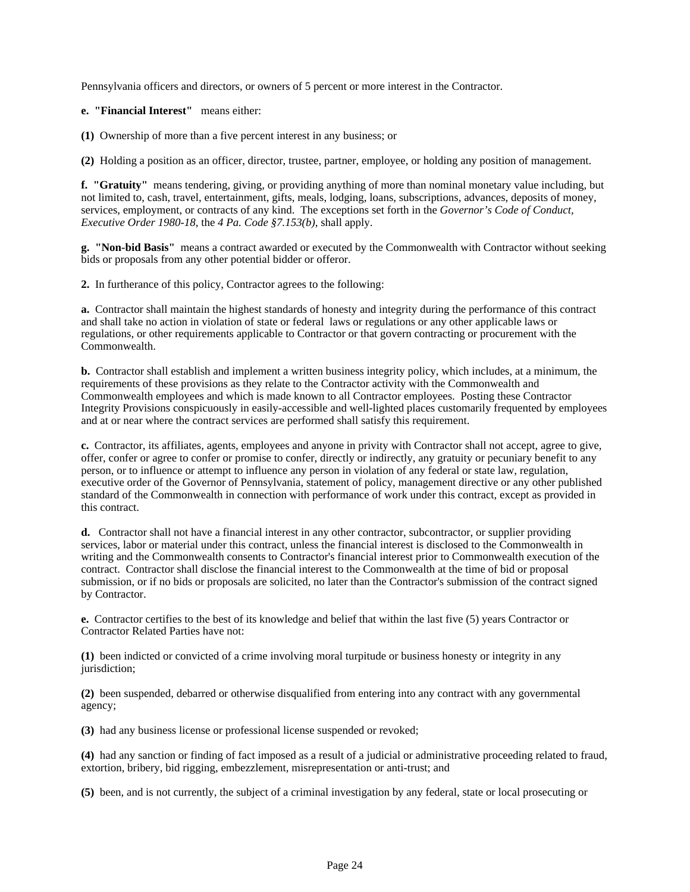Pennsylvania officers and directors, or owners of 5 percent or more interest in the Contractor.

**e. "Financial Interest"** means either:

**(1)** Ownership of more than a five percent interest in any business; or

**(2)** Holding a position as an officer, director, trustee, partner, employee, or holding any position of management.

**f. "Gratuity"** means tendering, giving, or providing anything of more than nominal monetary value including, but not limited to, cash, travel, entertainment, gifts, meals, lodging, loans, subscriptions, advances, deposits of money, services, employment, or contracts of any kind. The exceptions set forth in the *Governor's Code of Conduct, Executive Order 1980-18*, the *4 Pa. Code §7.153(b)*, shall apply.

**g. "Non-bid Basis"** means a contract awarded or executed by the Commonwealth with Contractor without seeking bids or proposals from any other potential bidder or offeror.

**2.** In furtherance of this policy, Contractor agrees to the following:

**a.** Contractor shall maintain the highest standards of honesty and integrity during the performance of this contract and shall take no action in violation of state or federal laws or regulations or any other applicable laws or regulations, or other requirements applicable to Contractor or that govern contracting or procurement with the Commonwealth.

**b.** Contractor shall establish and implement a written business integrity policy, which includes, at a minimum, the requirements of these provisions as they relate to the Contractor activity with the Commonwealth and Commonwealth employees and which is made known to all Contractor employees. Posting these Contractor Integrity Provisions conspicuously in easily-accessible and well-lighted places customarily frequented by employees and at or near where the contract services are performed shall satisfy this requirement.

**c.** Contractor, its affiliates, agents, employees and anyone in privity with Contractor shall not accept, agree to give, offer, confer or agree to confer or promise to confer, directly or indirectly, any gratuity or pecuniary benefit to any person, or to influence or attempt to influence any person in violation of any federal or state law, regulation, executive order of the Governor of Pennsylvania, statement of policy, management directive or any other published standard of the Commonwealth in connection with performance of work under this contract, except as provided in this contract.

**d.** Contractor shall not have a financial interest in any other contractor, subcontractor, or supplier providing services, labor or material under this contract, unless the financial interest is disclosed to the Commonwealth in writing and the Commonwealth consents to Contractor's financial interest prior to Commonwealth execution of the contract. Contractor shall disclose the financial interest to the Commonwealth at the time of bid or proposal submission, or if no bids or proposals are solicited, no later than the Contractor's submission of the contract signed by Contractor.

**e.** Contractor certifies to the best of its knowledge and belief that within the last five (5) years Contractor or Contractor Related Parties have not:

**(1)** been indicted or convicted of a crime involving moral turpitude or business honesty or integrity in any jurisdiction;

**(2)** been suspended, debarred or otherwise disqualified from entering into any contract with any governmental agency;

**(3)** had any business license or professional license suspended or revoked;

**(4)** had any sanction or finding of fact imposed as a result of a judicial or administrative proceeding related to fraud, extortion, bribery, bid rigging, embezzlement, misrepresentation or anti-trust; and

**(5)** been, and is not currently, the subject of a criminal investigation by any federal, state or local prosecuting or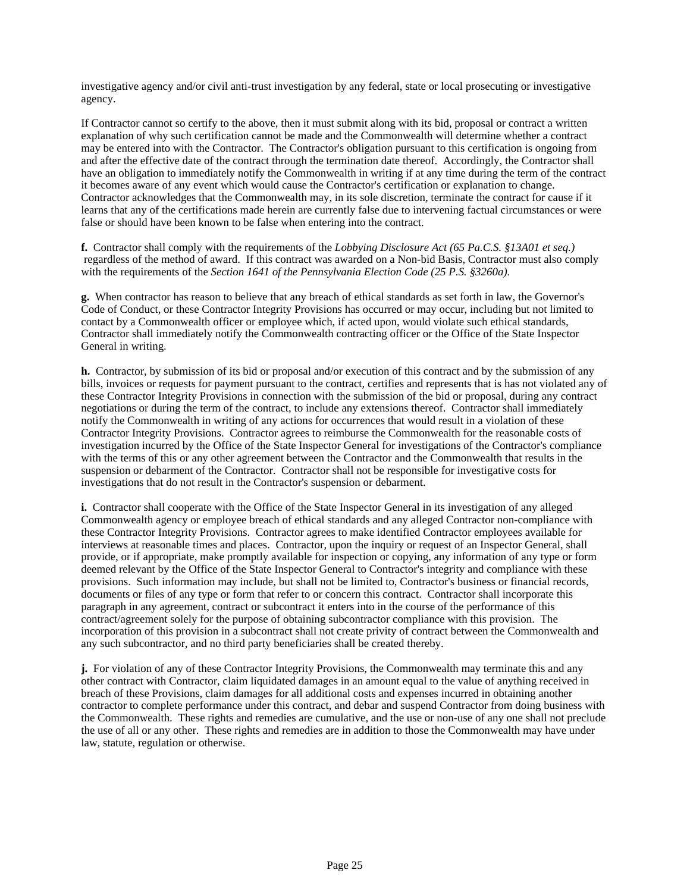investigative agency and/or civil anti-trust investigation by any federal, state or local prosecuting or investigative agency.

If Contractor cannot so certify to the above, then it must submit along with its bid, proposal or contract a written explanation of why such certification cannot be made and the Commonwealth will determine whether a contract may be entered into with the Contractor. The Contractor's obligation pursuant to this certification is ongoing from and after the effective date of the contract through the termination date thereof. Accordingly, the Contractor shall have an obligation to immediately notify the Commonwealth in writing if at any time during the term of the contract it becomes aware of any event which would cause the Contractor's certification or explanation to change. Contractor acknowledges that the Commonwealth may, in its sole discretion, terminate the contract for cause if it learns that any of the certifications made herein are currently false due to intervening factual circumstances or were false or should have been known to be false when entering into the contract.

**f.** Contractor shall comply with the requirements of the *Lobbying Disclosure Act (65 Pa.C.S. §13A01 et seq.)* regardless of the method of award. If this contract was awarded on a Non-bid Basis, Contractor must also comply with the requirements of the *Section 1641 of the Pennsylvania Election Code (25 P.S. §3260a).*

**g.** When contractor has reason to believe that any breach of ethical standards as set forth in law, the Governor's Code of Conduct, or these Contractor Integrity Provisions has occurred or may occur, including but not limited to contact by a Commonwealth officer or employee which, if acted upon, would violate such ethical standards, Contractor shall immediately notify the Commonwealth contracting officer or the Office of the State Inspector General in writing.

**h.** Contractor, by submission of its bid or proposal and/or execution of this contract and by the submission of any bills, invoices or requests for payment pursuant to the contract, certifies and represents that is has not violated any of these Contractor Integrity Provisions in connection with the submission of the bid or proposal, during any contract negotiations or during the term of the contract, to include any extensions thereof. Contractor shall immediately notify the Commonwealth in writing of any actions for occurrences that would result in a violation of these Contractor Integrity Provisions. Contractor agrees to reimburse the Commonwealth for the reasonable costs of investigation incurred by the Office of the State Inspector General for investigations of the Contractor's compliance with the terms of this or any other agreement between the Contractor and the Commonwealth that results in the suspension or debarment of the Contractor. Contractor shall not be responsible for investigative costs for investigations that do not result in the Contractor's suspension or debarment.

**i.** Contractor shall cooperate with the Office of the State Inspector General in its investigation of any alleged Commonwealth agency or employee breach of ethical standards and any alleged Contractor non-compliance with these Contractor Integrity Provisions. Contractor agrees to make identified Contractor employees available for interviews at reasonable times and places. Contractor, upon the inquiry or request of an Inspector General, shall provide, or if appropriate, make promptly available for inspection or copying, any information of any type or form deemed relevant by the Office of the State Inspector General to Contractor's integrity and compliance with these provisions. Such information may include, but shall not be limited to, Contractor's business or financial records, documents or files of any type or form that refer to or concern this contract. Contractor shall incorporate this paragraph in any agreement, contract or subcontract it enters into in the course of the performance of this contract/agreement solely for the purpose of obtaining subcontractor compliance with this provision. The incorporation of this provision in a subcontract shall not create privity of contract between the Commonwealth and any such subcontractor, and no third party beneficiaries shall be created thereby.

**j.** For violation of any of these Contractor Integrity Provisions, the Commonwealth may terminate this and any other contract with Contractor, claim liquidated damages in an amount equal to the value of anything received in breach of these Provisions, claim damages for all additional costs and expenses incurred in obtaining another contractor to complete performance under this contract, and debar and suspend Contractor from doing business with the Commonwealth. These rights and remedies are cumulative, and the use or non-use of any one shall not preclude the use of all or any other. These rights and remedies are in addition to those the Commonwealth may have under law, statute, regulation or otherwise.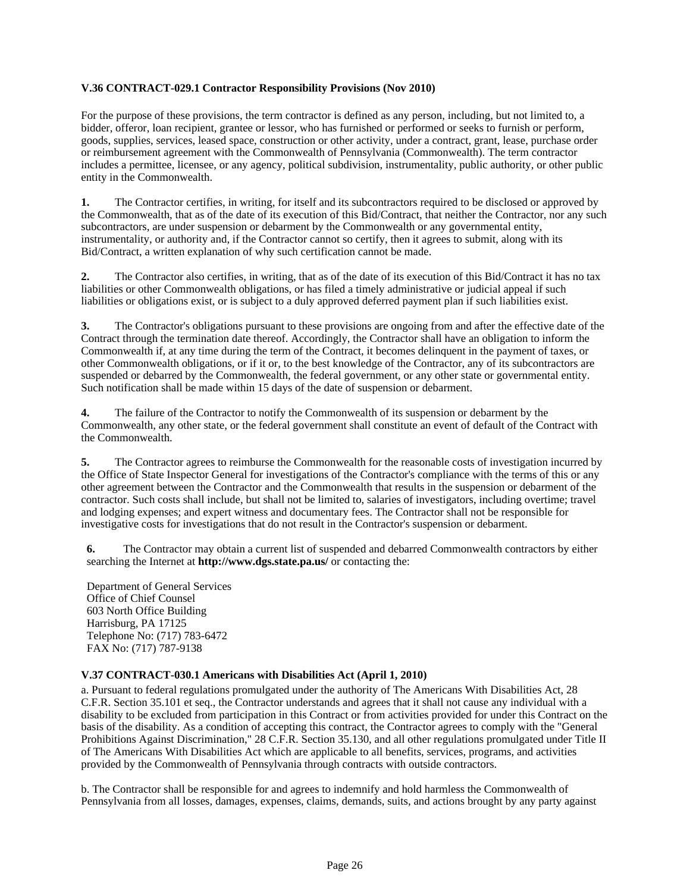### **V.36 CONTRACT-029.1 Contractor Responsibility Provisions (Nov 2010)**

For the purpose of these provisions, the term contractor is defined as any person, including, but not limited to, a bidder, offeror, loan recipient, grantee or lessor, who has furnished or performed or seeks to furnish or perform, goods, supplies, services, leased space, construction or other activity, under a contract, grant, lease, purchase order or reimbursement agreement with the Commonwealth of Pennsylvania (Commonwealth). The term contractor includes a permittee, licensee, or any agency, political subdivision, instrumentality, public authority, or other public entity in the Commonwealth.

**1.** The Contractor certifies, in writing, for itself and its subcontractors required to be disclosed or approved by the Commonwealth, that as of the date of its execution of this Bid/Contract, that neither the Contractor, nor any such subcontractors, are under suspension or debarment by the Commonwealth or any governmental entity, instrumentality, or authority and, if the Contractor cannot so certify, then it agrees to submit, along with its Bid/Contract, a written explanation of why such certification cannot be made.

**2.** The Contractor also certifies, in writing, that as of the date of its execution of this Bid/Contract it has no tax liabilities or other Commonwealth obligations, or has filed a timely administrative or judicial appeal if such liabilities or obligations exist, or is subject to a duly approved deferred payment plan if such liabilities exist.

**3.** The Contractor's obligations pursuant to these provisions are ongoing from and after the effective date of the Contract through the termination date thereof. Accordingly, the Contractor shall have an obligation to inform the Commonwealth if, at any time during the term of the Contract, it becomes delinquent in the payment of taxes, or other Commonwealth obligations, or if it or, to the best knowledge of the Contractor, any of its subcontractors are suspended or debarred by the Commonwealth, the federal government, or any other state or governmental entity. Such notification shall be made within 15 days of the date of suspension or debarment.

**4.** The failure of the Contractor to notify the Commonwealth of its suspension or debarment by the Commonwealth, any other state, or the federal government shall constitute an event of default of the Contract with the Commonwealth.

**5.** The Contractor agrees to reimburse the Commonwealth for the reasonable costs of investigation incurred by the Office of State Inspector General for investigations of the Contractor's compliance with the terms of this or any other agreement between the Contractor and the Commonwealth that results in the suspension or debarment of the contractor. Such costs shall include, but shall not be limited to, salaries of investigators, including overtime; travel and lodging expenses; and expert witness and documentary fees. The Contractor shall not be responsible for investigative costs for investigations that do not result in the Contractor's suspension or debarment.

**6.** The Contractor may obtain a current list of suspended and debarred Commonwealth contractors by either searching the Internet at **http://www.dgs.state.pa.us/** or contacting the:

Department of General Services Office of Chief Counsel 603 North Office Building Harrisburg, PA 17125 Telephone No: (717) 783-6472 FAX No: (717) 787-9138

# **V.37 CONTRACT-030.1 Americans with Disabilities Act (April 1, 2010)**

a. Pursuant to federal regulations promulgated under the authority of The Americans With Disabilities Act, 28 C.F.R. Section 35.101 et seq., the Contractor understands and agrees that it shall not cause any individual with a disability to be excluded from participation in this Contract or from activities provided for under this Contract on the basis of the disability. As a condition of accepting this contract, the Contractor agrees to comply with the "General Prohibitions Against Discrimination," 28 C.F.R. Section 35.130, and all other regulations promulgated under Title II of The Americans With Disabilities Act which are applicable to all benefits, services, programs, and activities provided by the Commonwealth of Pennsylvania through contracts with outside contractors.

b. The Contractor shall be responsible for and agrees to indemnify and hold harmless the Commonwealth of Pennsylvania from all losses, damages, expenses, claims, demands, suits, and actions brought by any party against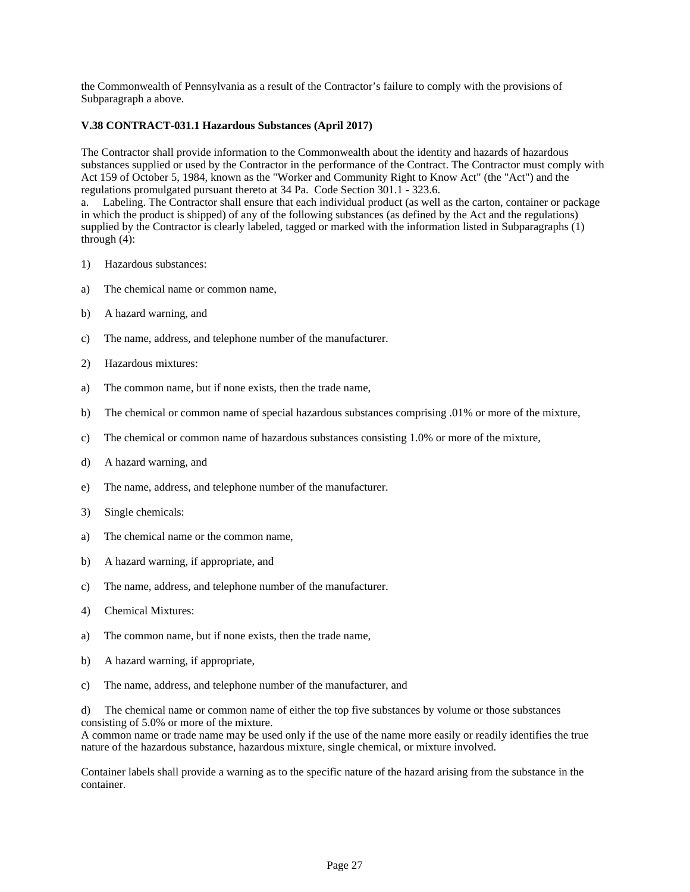the Commonwealth of Pennsylvania as a result of the Contractor's failure to comply with the provisions of Subparagraph a above.

### **V.38 CONTRACT-031.1 Hazardous Substances (April 2017)**

The Contractor shall provide information to the Commonwealth about the identity and hazards of hazardous substances supplied or used by the Contractor in the performance of the Contract. The Contractor must comply with Act 159 of October 5, 1984, known as the "Worker and Community Right to Know Act" (the "Act") and the regulations promulgated pursuant thereto at 34 Pa. Code Section 301.1 - 323.6.

a. Labeling. The Contractor shall ensure that each individual product (as well as the carton, container or package in which the product is shipped) of any of the following substances (as defined by the Act and the regulations) supplied by the Contractor is clearly labeled, tagged or marked with the information listed in Subparagraphs (1) through (4):

- 1) Hazardous substances:
- a) The chemical name or common name,
- b) A hazard warning, and
- c) The name, address, and telephone number of the manufacturer.
- 2) Hazardous mixtures:
- a) The common name, but if none exists, then the trade name,
- b) The chemical or common name of special hazardous substances comprising .01% or more of the mixture,
- c) The chemical or common name of hazardous substances consisting 1.0% or more of the mixture,
- d) A hazard warning, and
- e) The name, address, and telephone number of the manufacturer.
- 3) Single chemicals:
- a) The chemical name or the common name,
- b) A hazard warning, if appropriate, and
- c) The name, address, and telephone number of the manufacturer.
- 4) Chemical Mixtures:
- a) The common name, but if none exists, then the trade name,
- b) A hazard warning, if appropriate,
- c) The name, address, and telephone number of the manufacturer, and

d) The chemical name or common name of either the top five substances by volume or those substances consisting of 5.0% or more of the mixture.

A common name or trade name may be used only if the use of the name more easily or readily identifies the true nature of the hazardous substance, hazardous mixture, single chemical, or mixture involved.

Container labels shall provide a warning as to the specific nature of the hazard arising from the substance in the container.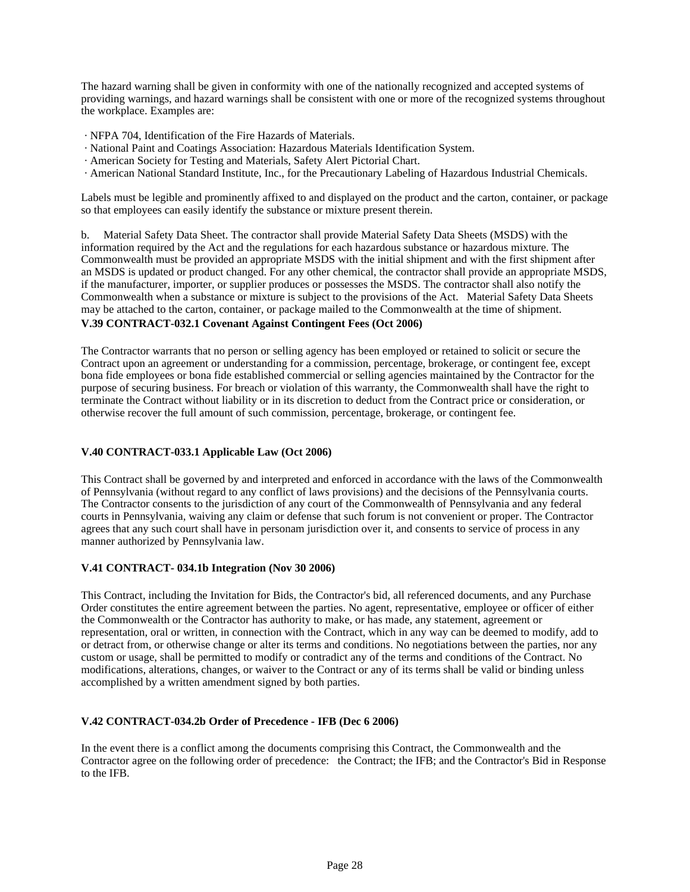The hazard warning shall be given in conformity with one of the nationally recognized and accepted systems of providing warnings, and hazard warnings shall be consistent with one or more of the recognized systems throughout the workplace. Examples are:

- · NFPA 704, Identification of the Fire Hazards of Materials.
- · National Paint and Coatings Association: Hazardous Materials Identification System.
- · American Society for Testing and Materials, Safety Alert Pictorial Chart.
- · American National Standard Institute, Inc., for the Precautionary Labeling of Hazardous Industrial Chemicals.

Labels must be legible and prominently affixed to and displayed on the product and the carton, container, or package so that employees can easily identify the substance or mixture present therein.

b. Material Safety Data Sheet. The contractor shall provide Material Safety Data Sheets (MSDS) with the information required by the Act and the regulations for each hazardous substance or hazardous mixture. The Commonwealth must be provided an appropriate MSDS with the initial shipment and with the first shipment after an MSDS is updated or product changed. For any other chemical, the contractor shall provide an appropriate MSDS, if the manufacturer, importer, or supplier produces or possesses the MSDS. The contractor shall also notify the Commonwealth when a substance or mixture is subject to the provisions of the Act. Material Safety Data Sheets may be attached to the carton, container, or package mailed to the Commonwealth at the time of shipment.

### **V.39 CONTRACT-032.1 Covenant Against Contingent Fees (Oct 2006)**

The Contractor warrants that no person or selling agency has been employed or retained to solicit or secure the Contract upon an agreement or understanding for a commission, percentage, brokerage, or contingent fee, except bona fide employees or bona fide established commercial or selling agencies maintained by the Contractor for the purpose of securing business. For breach or violation of this warranty, the Commonwealth shall have the right to terminate the Contract without liability or in its discretion to deduct from the Contract price or consideration, or otherwise recover the full amount of such commission, percentage, brokerage, or contingent fee.

# **V.40 CONTRACT-033.1 Applicable Law (Oct 2006)**

This Contract shall be governed by and interpreted and enforced in accordance with the laws of the Commonwealth of Pennsylvania (without regard to any conflict of laws provisions) and the decisions of the Pennsylvania courts. The Contractor consents to the jurisdiction of any court of the Commonwealth of Pennsylvania and any federal courts in Pennsylvania, waiving any claim or defense that such forum is not convenient or proper. The Contractor agrees that any such court shall have in personam jurisdiction over it, and consents to service of process in any manner authorized by Pennsylvania law.

### **V.41 CONTRACT- 034.1b Integration (Nov 30 2006)**

This Contract, including the Invitation for Bids, the Contractor's bid, all referenced documents, and any Purchase Order constitutes the entire agreement between the parties. No agent, representative, employee or officer of either the Commonwealth or the Contractor has authority to make, or has made, any statement, agreement or representation, oral or written, in connection with the Contract, which in any way can be deemed to modify, add to or detract from, or otherwise change or alter its terms and conditions. No negotiations between the parties, nor any custom or usage, shall be permitted to modify or contradict any of the terms and conditions of the Contract. No modifications, alterations, changes, or waiver to the Contract or any of its terms shall be valid or binding unless accomplished by a written amendment signed by both parties.

# **V.42 CONTRACT-034.2b Order of Precedence - IFB (Dec 6 2006)**

In the event there is a conflict among the documents comprising this Contract, the Commonwealth and the Contractor agree on the following order of precedence: the Contract; the IFB; and the Contractor's Bid in Response to the IFB.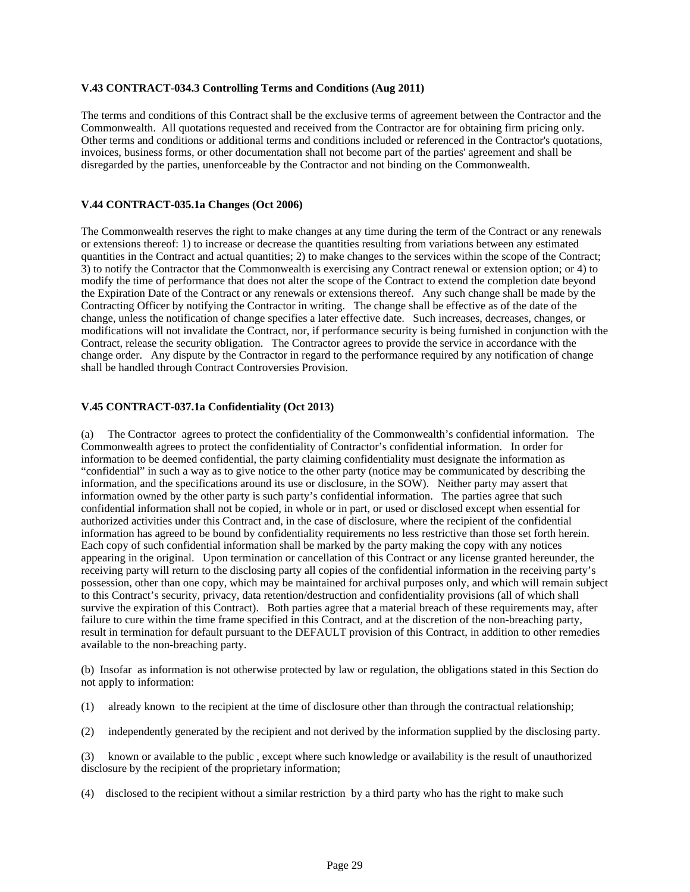### **V.43 CONTRACT-034.3 Controlling Terms and Conditions (Aug 2011)**

The terms and conditions of this Contract shall be the exclusive terms of agreement between the Contractor and the Commonwealth. All quotations requested and received from the Contractor are for obtaining firm pricing only. Other terms and conditions or additional terms and conditions included or referenced in the Contractor's quotations, invoices, business forms, or other documentation shall not become part of the parties' agreement and shall be disregarded by the parties, unenforceable by the Contractor and not binding on the Commonwealth.

### **V.44 CONTRACT-035.1a Changes (Oct 2006)**

The Commonwealth reserves the right to make changes at any time during the term of the Contract or any renewals or extensions thereof: 1) to increase or decrease the quantities resulting from variations between any estimated quantities in the Contract and actual quantities; 2) to make changes to the services within the scope of the Contract; 3) to notify the Contractor that the Commonwealth is exercising any Contract renewal or extension option; or 4) to modify the time of performance that does not alter the scope of the Contract to extend the completion date beyond the Expiration Date of the Contract or any renewals or extensions thereof. Any such change shall be made by the Contracting Officer by notifying the Contractor in writing. The change shall be effective as of the date of the change, unless the notification of change specifies a later effective date. Such increases, decreases, changes, or modifications will not invalidate the Contract, nor, if performance security is being furnished in conjunction with the Contract, release the security obligation. The Contractor agrees to provide the service in accordance with the change order. Any dispute by the Contractor in regard to the performance required by any notification of change shall be handled through Contract Controversies Provision.

### **V.45 CONTRACT-037.1a Confidentiality (Oct 2013)**

(a) The Contractor agrees to protect the confidentiality of the Commonwealth's confidential information. The Commonwealth agrees to protect the confidentiality of Contractor's confidential information. In order for information to be deemed confidential, the party claiming confidentiality must designate the information as "confidential" in such a way as to give notice to the other party (notice may be communicated by describing the information, and the specifications around its use or disclosure, in the SOW). Neither party may assert that information owned by the other party is such party's confidential information. The parties agree that such confidential information shall not be copied, in whole or in part, or used or disclosed except when essential for authorized activities under this Contract and, in the case of disclosure, where the recipient of the confidential information has agreed to be bound by confidentiality requirements no less restrictive than those set forth herein. Each copy of such confidential information shall be marked by the party making the copy with any notices appearing in the original. Upon termination or cancellation of this Contract or any license granted hereunder, the receiving party will return to the disclosing party all copies of the confidential information in the receiving party's possession, other than one copy, which may be maintained for archival purposes only, and which will remain subject to this Contract's security, privacy, data retention/destruction and confidentiality provisions (all of which shall survive the expiration of this Contract). Both parties agree that a material breach of these requirements may, after failure to cure within the time frame specified in this Contract, and at the discretion of the non-breaching party, result in termination for default pursuant to the DEFAULT provision of this Contract, in addition to other remedies available to the non-breaching party.

(b) Insofar as information is not otherwise protected by law or regulation, the obligations stated in this Section do not apply to information:

- (1) already known to the recipient at the time of disclosure other than through the contractual relationship;
- (2) independently generated by the recipient and not derived by the information supplied by the disclosing party.

(3) known or available to the public , except where such knowledge or availability is the result of unauthorized disclosure by the recipient of the proprietary information;

(4) disclosed to the recipient without a similar restriction by a third party who has the right to make such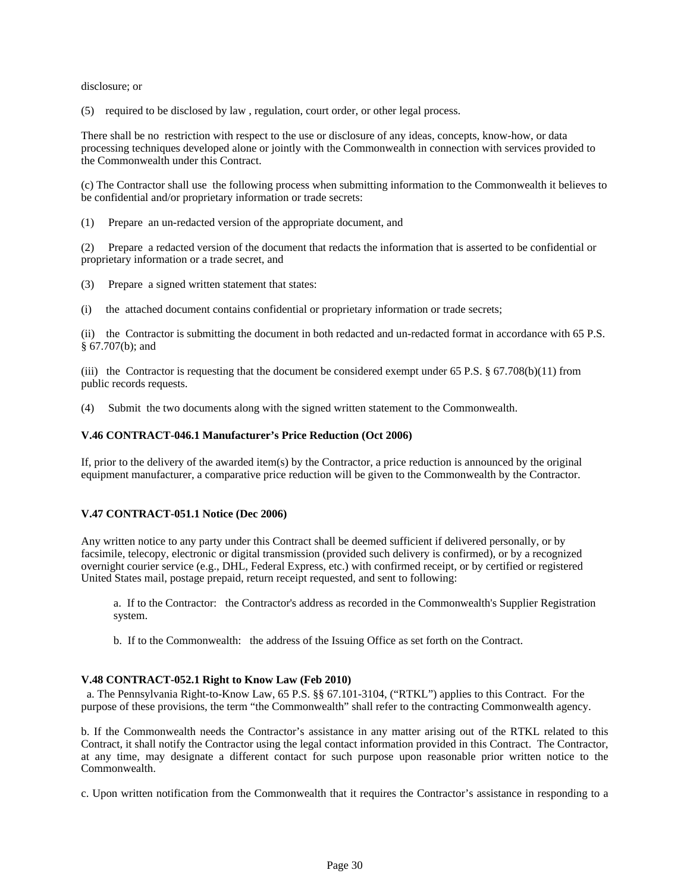disclosure; or

(5) required to be disclosed by law , regulation, court order, or other legal process.

There shall be no restriction with respect to the use or disclosure of any ideas, concepts, know-how, or data processing techniques developed alone or jointly with the Commonwealth in connection with services provided to the Commonwealth under this Contract.

(c) The Contractor shall use the following process when submitting information to the Commonwealth it believes to be confidential and/or proprietary information or trade secrets:

(1) Prepare an un-redacted version of the appropriate document, and

(2) Prepare a redacted version of the document that redacts the information that is asserted to be confidential or proprietary information or a trade secret, and

(3) Prepare a signed written statement that states:

(i) the attached document contains confidential or proprietary information or trade secrets;

(ii) the Contractor is submitting the document in both redacted and un-redacted format in accordance with 65 P.S. § 67.707(b); and

(iii) the Contractor is requesting that the document be considered exempt under 65 P.S.  $\S$  67.708(b)(11) from public records requests.

(4) Submit the two documents along with the signed written statement to the Commonwealth.

#### **V.46 CONTRACT-046.1 Manufacturer's Price Reduction (Oct 2006)**

If, prior to the delivery of the awarded item(s) by the Contractor, a price reduction is announced by the original equipment manufacturer, a comparative price reduction will be given to the Commonwealth by the Contractor.

### **V.47 CONTRACT-051.1 Notice (Dec 2006)**

Any written notice to any party under this Contract shall be deemed sufficient if delivered personally, or by facsimile, telecopy, electronic or digital transmission (provided such delivery is confirmed), or by a recognized overnight courier service (e.g., DHL, Federal Express, etc.) with confirmed receipt, or by certified or registered United States mail, postage prepaid, return receipt requested, and sent to following:

a. If to the Contractor: the Contractor's address as recorded in the Commonwealth's Supplier Registration system.

b. If to the Commonwealth: the address of the Issuing Office as set forth on the Contract.

### **V.48 CONTRACT-052.1 Right to Know Law (Feb 2010)**

a. The Pennsylvania Right-to-Know Law, 65 P.S. §§ 67.101-3104, ("RTKL") applies to this Contract. For the purpose of these provisions, the term "the Commonwealth" shall refer to the contracting Commonwealth agency.

b. If the Commonwealth needs the Contractor's assistance in any matter arising out of the RTKL related to this Contract, it shall notify the Contractor using the legal contact information provided in this Contract. The Contractor, at any time, may designate a different contact for such purpose upon reasonable prior written notice to the Commonwealth.

c. Upon written notification from the Commonwealth that it requires the Contractor's assistance in responding to a